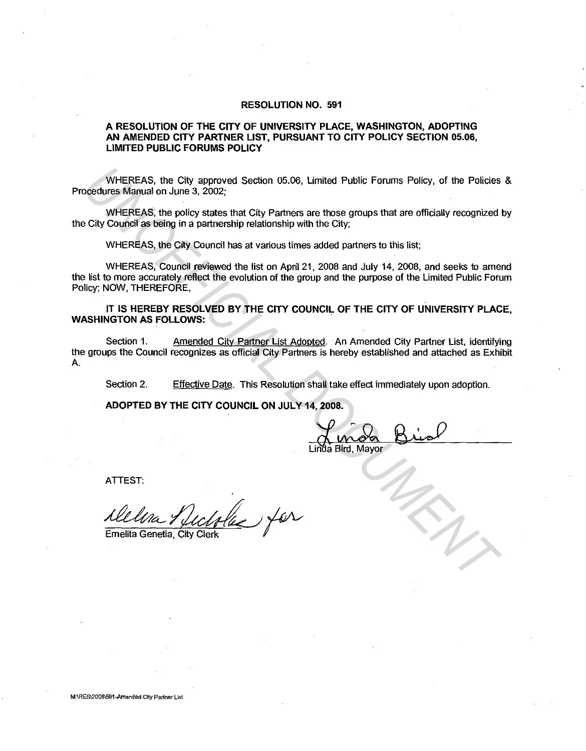## **RESOLUTION NO. 591**

## **A RESOLUTION OF THE CITY OF UNIVERSITY PLACE, WASHINGTON, ADOPTING AN AMENDED CITY PARTNER LIST, PURSUANT TO CITY POLICY SECTION 05.06, LIMITED PUBLIC FORUMS POLICY**

WHEREAS, the City approved Section 05.06, Limited Public Forums Policy, of the Policies & Procedures Manual on June 3, 2002;

WHEREAS, the policy states that City Partners are those groups that are officially recognized by the City Council as being in a partnership relationship with the City;

WHEREAS, the City Council has at various times added partners to this list;

WHEREAS, Council reviewed the list on April 21, 2008 and July 14, 2008, and seeks to amend the list to more accurately reflect the evolution of the group and the purpose of the Limited Public Forum Policy; NOW, THEREFORE, WHEREAS, the City approved Section 05.06, Limited Public Forums Policy, of the Policies<br>
UNIFICIRAS, ite policy states that City Partners are those groups that are officially recognized<br>
UNIFICIRAS, the policy states that

**IT IS HEREBY RESOLVED BY THE CITY COUNCIL OF THE CITY OF UNIVERSITY PLACE, WASHINGTON AS FOLLOWS:** .

Section 1. Amended City Partner List Adopted. An Amended City Partner List, identifying the groups the Council recognizes as official City Partners is hereby established and attached as Exhibit A.

Section 2. Effective Date. This Resolution shall take effect immediately upon adoption.

**ADOPTED BY THE CITY COUNCIL ON JULY 14, 2008.** 

da Bird. Mayor

ATTEST:

 $\mathscr{U}_\infty$  for

Emelita Genetia, City Clerk